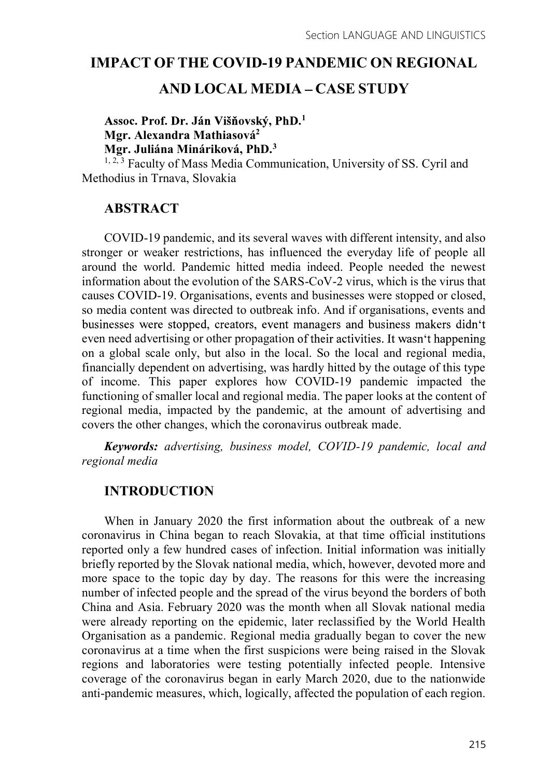# IMPACT OF THE COVID-19 PANDEMIC ON REGIONAL

# AND LOCAL MEDIA - CASE STUDY

 $1$  and  $1$  and  $1$  and  $1$  and  $1$  and  $1$ Mgr. Alexandra Mathiasová<sup>2</sup> Mgr. Juliána Mináriková, PhD.3

 $1, 2, 3$  Faculty of Mass Media Communication, University of SS. Cyril and Methodius in Trnava, Slovakia

# ABSTRACT

COVID-19 pandemic, and its several waves with different intensity, and also stronger or weaker restrictions, has influenced the everyday life of people all around the world. Pandemic hitted media indeed. People needed the newest information about the evolution of the SARS-CoV-2 virus, which is the virus that causes COVID-19. Organisations, events and businesses were stopped or closed, so media content was directed to outbreak info. And if organisations, events and businesses were stopped, creators, event managers and business makers didn't even need advertising or other propagation of their activities. It wasn't happening on a global scale only, but also in the local. So the local and regional media, financially dependent on advertising, was hardly hitted by the outage of this type of income. This paper explores how COVID-19 pandemic impacted the functioning of smaller local and regional media. The paper looks at the content of regional media, impacted by the pandemic, at the amount of advertising and covers the other changes, which the coronavirus outbreak made.

Keywords: advertising, business model, COVID-19 pandemic, local and regional media

# **INTRODUCTION**

When in January 2020 the first information about the outbreak of a new coronavirus in China began to reach Slovakia, at that time official institutions reported only a few hundred cases of infection. Initial information was initially briefly reported by the Slovak national media, which, however, devoted more and more space to the topic day by day. The reasons for this were the increasing number of infected people and the spread of the virus beyond the borders of both China and Asia. February 2020 was the month when all Slovak national media were already reporting on the epidemic, later reclassified by the World Health Organisation as a pandemic. Regional media gradually began to cover the new coronavirus at a time when the first suspicions were being raised in the Slovak regions and laboratories were testing potentially infected people. Intensive coverage of the coronavirus began in early March 2020, due to the nationwide anti-pandemic measures, which, logically, affected the population of each region.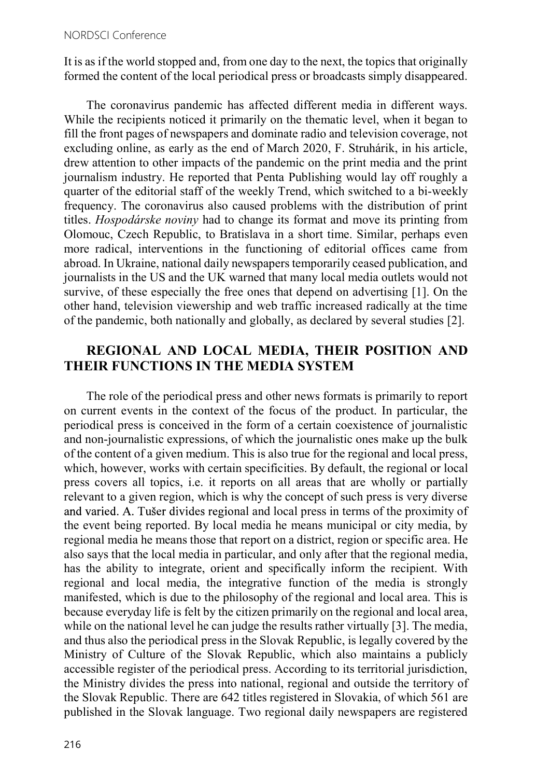It is as if the world stopped and, from one day to the next, the topics that originally formed the content of the local periodical press or broadcasts simply disappeared.

The coronavirus pandemic has affected different media in different ways. While the recipients noticed it primarily on the thematic level, when it began to fill the front pages of newspapers and dominate radio and television coverage, not excluding online, as early as the end of March 2020, F. Struhárik, in his article, drew attention to other impacts of the pandemic on the print media and the print journalism industry. He reported that Penta Publishing would lay off roughly a quarter of the editorial staff of the weekly Trend, which switched to a bi-weekly frequency. The coronavirus also caused problems with the distribution of print titles. Hospodárske noviny had to change its format and move its printing from Olomouc, Czech Republic, to Bratislava in a short time. Similar, perhaps even more radical, interventions in the functioning of editorial offices came from abroad. In Ukraine, national daily newspapers temporarily ceased publication, and journalists in the US and the UK warned that many local media outlets would not survive, of these especially the free ones that depend on advertising [1]. On the other hand, television viewership and web traffic increased radically at the time of the pandemic, both nationally and globally, as declared by several studies [2].

### REGIONAL AND LOCAL MEDIA, THEIR POSITION AND THEIR FUNCTIONS IN THE MEDIA SYSTEM

The role of the periodical press and other news formats is primarily to report on current events in the context of the focus of the product. In particular, the periodical press is conceived in the form of a certain coexistence of journalistic and non-journalistic expressions, of which the journalistic ones make up the bulk of the content of a given medium. This is also true for the regional and local press, which, however, works with certain specificities. By default, the regional or local press covers all topics, i.e. it reports on all areas that are wholly or partially relevant to a given region, which is why the concept of such press is very diverse and varied. A. Tušer divides regional and local press in terms of the proximity of the event being reported. By local media he means municipal or city media, by regional media he means those that report on a district, region or specific area. He also says that the local media in particular, and only after that the regional media, has the ability to integrate, orient and specifically inform the recipient. With regional and local media, the integrative function of the media is strongly manifested, which is due to the philosophy of the regional and local area. This is because everyday life is felt by the citizen primarily on the regional and local area, while on the national level he can judge the results rather virtually [3]. The media, and thus also the periodical press in the Slovak Republic, is legally covered by the Ministry of Culture of the Slovak Republic, which also maintains a publicly accessible register of the periodical press. According to its territorial jurisdiction, the Ministry divides the press into national, regional and outside the territory of the Slovak Republic. There are 642 titles registered in Slovakia, of which 561 are published in the Slovak language. Two regional daily newspapers are registered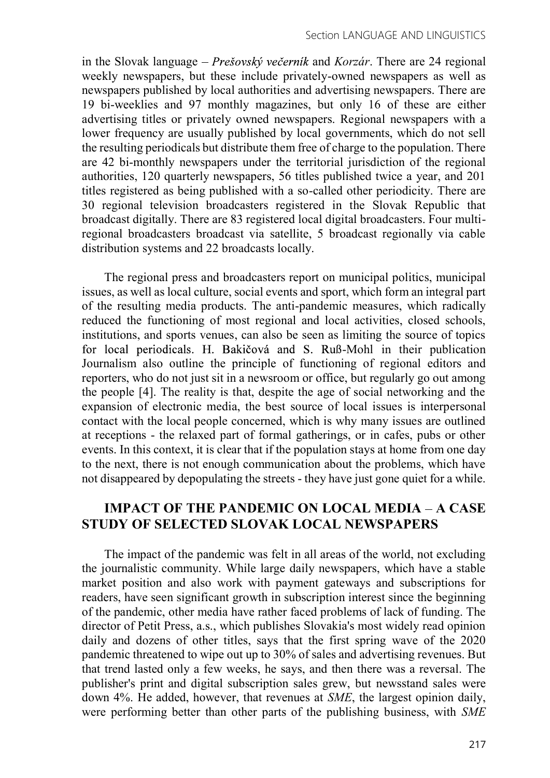in the Slovak language – *Prešovský večerník* and *Korzár*. There are 24 regional weekly newspapers, but these include privately-owned newspapers as well as newspapers published by local authorities and advertising newspapers. There are 19 bi-weeklies and 97 monthly magazines, but only 16 of these are either advertising titles or privately owned newspapers. Regional newspapers with a lower frequency are usually published by local governments, which do not sell the resulting periodicals but distribute them free of charge to the population. There are 42 bi-monthly newspapers under the territorial jurisdiction of the regional authorities, 120 quarterly newspapers, 56 titles published twice a year, and 201 titles registered as being published with a so-called other periodicity. There are 30 regional television broadcasters registered in the Slovak Republic that broadcast digitally. There are 83 registered local digital broadcasters. Four multiregional broadcasters broadcast via satellite, 5 broadcast regionally via cable distribution systems and 22 broadcasts locally.

The regional press and broadcasters report on municipal politics, municipal issues, as well as local culture, social events and sport, which form an integral part of the resulting media products. The anti-pandemic measures, which radically reduced the functioning of most regional and local activities, closed schools, institutions, and sports venues, can also be seen as limiting the source of topics for local periodicals. H. Bakičová and S. Ruß-Mohl in their publication Journalism also outline the principle of functioning of regional editors and reporters, who do not just sit in a newsroom or office, but regularly go out among the people [4]. The reality is that, despite the age of social networking and the expansion of electronic media, the best source of local issues is interpersonal contact with the local people concerned, which is why many issues are outlined at receptions - the relaxed part of formal gatherings, or in cafes, pubs or other events. In this context, it is clear that if the population stays at home from one day to the next, there is not enough communication about the problems, which have not disappeared by depopulating the streets - they have just gone quiet for a while.

### IMPACT OF THE PANDEMIC ON LOCAL MEDIA - A CASE STUDY OF SELECTED SLOVAK LOCAL NEWSPAPERS

The impact of the pandemic was felt in all areas of the world, not excluding the journalistic community. While large daily newspapers, which have a stable market position and also work with payment gateways and subscriptions for readers, have seen significant growth in subscription interest since the beginning of the pandemic, other media have rather faced problems of lack of funding. The director of Petit Press, a.s., which publishes Slovakia's most widely read opinion daily and dozens of other titles, says that the first spring wave of the 2020 pandemic threatened to wipe out up to 30% of sales and advertising revenues. But that trend lasted only a few weeks, he says, and then there was a reversal. The publisher's print and digital subscription sales grew, but newsstand sales were down 4%. He added, however, that revenues at SME, the largest opinion daily, were performing better than other parts of the publishing business, with SME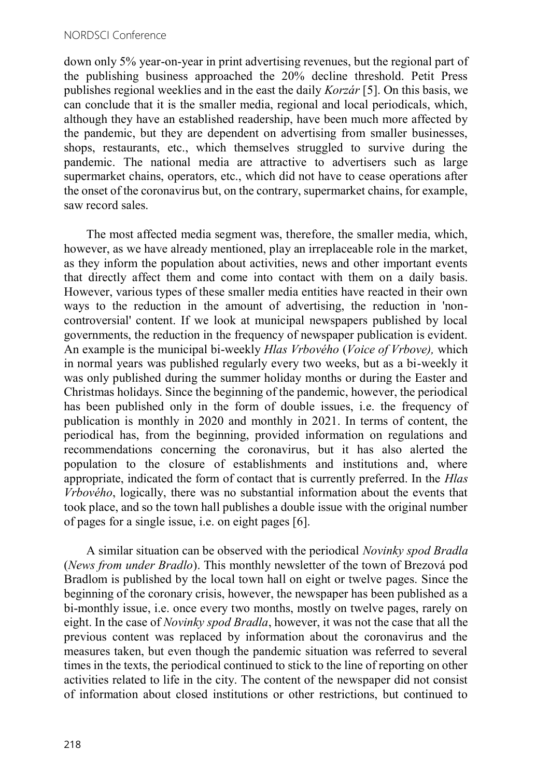down only 5% year-on-year in print advertising revenues, but the regional part of the publishing business approached the 20% decline threshold. Petit Press publishes regional weeklies and in the east the daily Korzár [5]. On this basis, we can conclude that it is the smaller media, regional and local periodicals, which, although they have an established readership, have been much more affected by the pandemic, but they are dependent on advertising from smaller businesses, shops, restaurants, etc., which themselves struggled to survive during the pandemic. The national media are attractive to advertisers such as large supermarket chains, operators, etc., which did not have to cease operations after the onset of the coronavirus but, on the contrary, supermarket chains, for example, saw record sales.

The most affected media segment was, therefore, the smaller media, which, however, as we have already mentioned, play an irreplaceable role in the market, as they inform the population about activities, news and other important events that directly affect them and come into contact with them on a daily basis. However, various types of these smaller media entities have reacted in their own ways to the reduction in the amount of advertising, the reduction in 'noncontroversial' content. If we look at municipal newspapers published by local governments, the reduction in the frequency of newspaper publication is evident. An example is the municipal bi-weekly Hlas Vrbového (Voice of Vrbove), which in normal years was published regularly every two weeks, but as a bi-weekly it was only published during the summer holiday months or during the Easter and Christmas holidays. Since the beginning of the pandemic, however, the periodical has been published only in the form of double issues, i.e. the frequency of publication is monthly in 2020 and monthly in 2021. In terms of content, the periodical has, from the beginning, provided information on regulations and recommendations concerning the coronavirus, but it has also alerted the population to the closure of establishments and institutions and, where appropriate, indicated the form of contact that is currently preferred. In the Hlas Vrbového, logically, there was no substantial information about the events that took place, and so the town hall publishes a double issue with the original number of pages for a single issue, i.e. on eight pages [6].

A similar situation can be observed with the periodical Novinky spod Bradla (News from under Bradlo). This monthly newsletter of the town of Brezová pod Bradlom is published by the local town hall on eight or twelve pages. Since the beginning of the coronary crisis, however, the newspaper has been published as a bi-monthly issue, i.e. once every two months, mostly on twelve pages, rarely on eight. In the case of Novinky spod Bradla, however, it was not the case that all the previous content was replaced by information about the coronavirus and the measures taken, but even though the pandemic situation was referred to several times in the texts, the periodical continued to stick to the line of reporting on other activities related to life in the city. The content of the newspaper did not consist of information about closed institutions or other restrictions, but continued to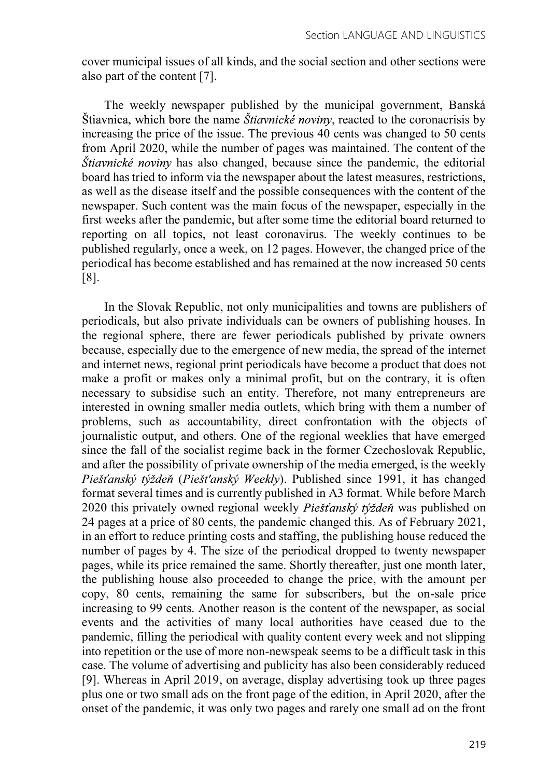cover municipal issues of all kinds, and the social section and other sections were also part of the content [7].

The weekly newspaper published by the municipal government, Banská Štiavnica, which bore the name *Štiavnické noviny*, reacted to the coronacrisis by increasing the price of the issue. The previous 40 cents was changed to 50 cents from April 2020, while the number of pages was maintained. The content of the  $\delta$ *tiavnické noviny* has also changed, because since the pandemic, the editorial board has tried to inform via the newspaper about the latest measures, restrictions, as well as the disease itself and the possible consequences with the content of the newspaper. Such content was the main focus of the newspaper, especially in the first weeks after the pandemic, but after some time the editorial board returned to reporting on all topics, not least coronavirus. The weekly continues to be published regularly, once a week, on 12 pages. However, the changed price of the periodical has become established and has remained at the now increased 50 cents [8].

In the Slovak Republic, not only municipalities and towns are publishers of periodicals, but also private individuals can be owners of publishing houses. In the regional sphere, there are fewer periodicals published by private owners because, especially due to the emergence of new media, the spread of the internet and internet news, regional print periodicals have become a product that does not make a profit or makes only a minimal profit, but on the contrary, it is often necessary to subsidise such an entity. Therefore, not many entrepreneurs are interested in owning smaller media outlets, which bring with them a number of problems, such as accountability, direct confrontation with the objects of journalistic output, and others. One of the regional weeklies that have emerged since the fall of the socialist regime back in the former Czechoslovak Republic, and after the possibility of private ownership of the media emerged, is the weekly Piešťanský týždeň (Piešťanský Weekly). Published since 1991, it has changed format several times and is currently published in A3 format. While before March 2020 this privately owned regional weekly *Piešťanský týždeň* was published on 24 pages at a price of 80 cents, the pandemic changed this. As of February 2021, in an effort to reduce printing costs and staffing, the publishing house reduced the number of pages by 4. The size of the periodical dropped to twenty newspaper pages, while its price remained the same. Shortly thereafter, just one month later, the publishing house also proceeded to change the price, with the amount per copy, 80 cents, remaining the same for subscribers, but the on-sale price increasing to 99 cents. Another reason is the content of the newspaper, as social events and the activities of many local authorities have ceased due to the pandemic, filling the periodical with quality content every week and not slipping into repetition or the use of more non-newspeak seems to be a difficult task in this case. The volume of advertising and publicity has also been considerably reduced [9]. Whereas in April 2019, on average, display advertising took up three pages plus one or two small ads on the front page of the edition, in April 2020, after the onset of the pandemic, it was only two pages and rarely one small ad on the front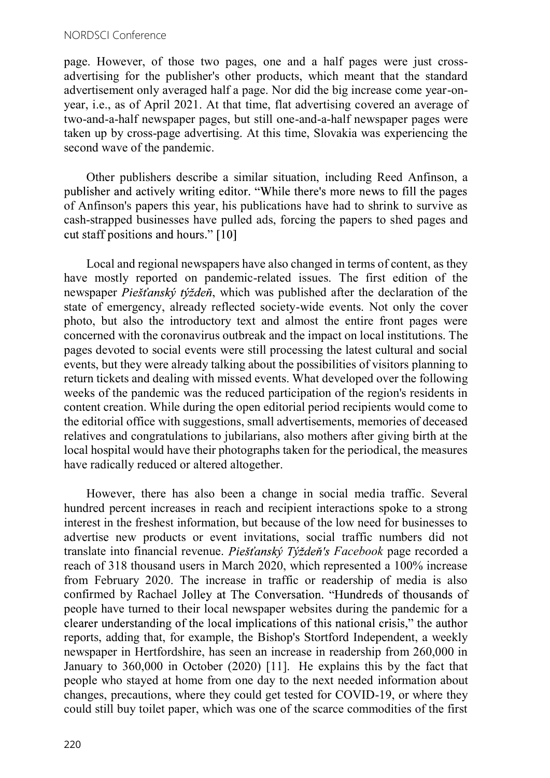#### NORDSCI Conference

page. However, of those two pages, one and a half pages were just crossadvertising for the publisher's other products, which meant that the standard advertisement only averaged half a page. Nor did the big increase come year-onyear, i.e., as of April 2021. At that time, flat advertising covered an average of two-and-a-half newspaper pages, but still one-and-a-half newspaper pages were taken up by cross-page advertising. At this time, Slovakia was experiencing the second wave of the pandemic.

Other publishers describe a similar situation, including Reed Anfinson, a publisher and actively writing editor. "While there's more news to fill the pages of Anfinson's papers this year, his publications have had to shrink to survive as cash-strapped businesses have pulled ads, forcing the papers to shed pages and cut staff positions and hours." [10]<br>Local and regional newspapers have also changed in terms of content, as they

have mostly reported on pandemic-related issues. The first edition of the newspaper *Piešťanský týždeň*, which was published after the declaration of the state of emergency, already reflected society-wide events. Not only the cover photo, but also the introductory text and almost the entire front pages were concerned with the coronavirus outbreak and the impact on local institutions. The pages devoted to social events were still processing the latest cultural and social events, but they were already talking about the possibilities of visitors planning to return tickets and dealing with missed events. What developed over the following weeks of the pandemic was the reduced participation of the region's residents in content creation. While during the open editorial period recipients would come to the editorial office with suggestions, small advertisements, memories of deceased relatives and congratulations to jubilarians, also mothers after giving birth at the local hospital would have their photographs taken for the periodical, the measures have radically reduced or altered altogether.

However, there has also been a change in social media traffic. Several hundred percent increases in reach and recipient interactions spoke to a strong interest in the freshest information, but because of the low need for businesses to advertise new products or event invitations, social traffic numbers did not translate into financial revenue. Piešťanský Týždeň's Facebook page recorded a reach of 318 thousand users in March 2020, which represented a 100% increase from February 2020. The increase in traffic or readership of media is also confirmed by Rachael Jolley at The Conversation. "Hundreds of thousands of people have turned to their local newspaper websites during the pandemic for a clearer understanding of the local implications of this national crisis," the author reports, adding that, for example, the Bishop's Stortford Independent, a weekly newspaper in Hertfordshire, has seen an increase in readership from 260,000 in January to 360,000 in October (2020) [11]. He explains this by the fact that people who stayed at home from one day to the next needed information about changes, precautions, where they could get tested for COVID-19, or where they could still buy toilet paper, which was one of the scarce commodities of the first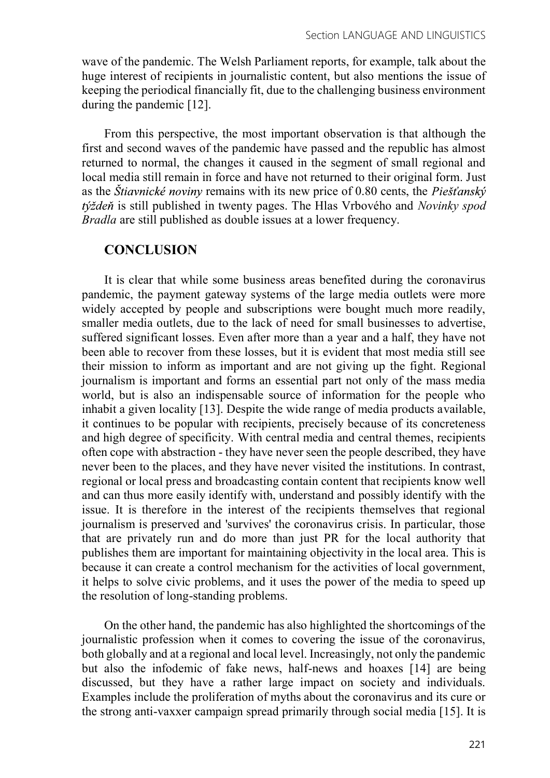wave of the pandemic. The Welsh Parliament reports, for example, talk about the huge interest of recipients in journalistic content, but also mentions the issue of keeping the periodical financially fit, due to the challenging business environment during the pandemic [12].

From this perspective, the most important observation is that although the first and second waves of the pandemic have passed and the republic has almost returned to normal, the changes it caused in the segment of small regional and local media still remain in force and have not returned to their original form. Just as the *Štiavnické noviny* remains with its new price of 0.80 cents, the *Piešťanský* týždeň is still published in twenty pages. The Hlas Vrbového and *Novinky spod* Bradla are still published as double issues at a lower frequency.

#### **CONCLUSION**

It is clear that while some business areas benefited during the coronavirus pandemic, the payment gateway systems of the large media outlets were more widely accepted by people and subscriptions were bought much more readily, smaller media outlets, due to the lack of need for small businesses to advertise, suffered significant losses. Even after more than a year and a half, they have not been able to recover from these losses, but it is evident that most media still see their mission to inform as important and are not giving up the fight. Regional journalism is important and forms an essential part not only of the mass media world, but is also an indispensable source of information for the people who inhabit a given locality [13]. Despite the wide range of media products available, it continues to be popular with recipients, precisely because of its concreteness and high degree of specificity. With central media and central themes, recipients often cope with abstraction - they have never seen the people described, they have never been to the places, and they have never visited the institutions. In contrast, regional or local press and broadcasting contain content that recipients know well and can thus more easily identify with, understand and possibly identify with the issue. It is therefore in the interest of the recipients themselves that regional journalism is preserved and 'survives' the coronavirus crisis. In particular, those that are privately run and do more than just PR for the local authority that publishes them are important for maintaining objectivity in the local area. This is because it can create a control mechanism for the activities of local government, it helps to solve civic problems, and it uses the power of the media to speed up the resolution of long-standing problems.

On the other hand, the pandemic has also highlighted the shortcomings of the journalistic profession when it comes to covering the issue of the coronavirus, both globally and at a regional and local level. Increasingly, not only the pandemic but also the infodemic of fake news, half-news and hoaxes [14] are being discussed, but they have a rather large impact on society and individuals. Examples include the proliferation of myths about the coronavirus and its cure or the strong anti-vaxxer campaign spread primarily through social media [15]. It is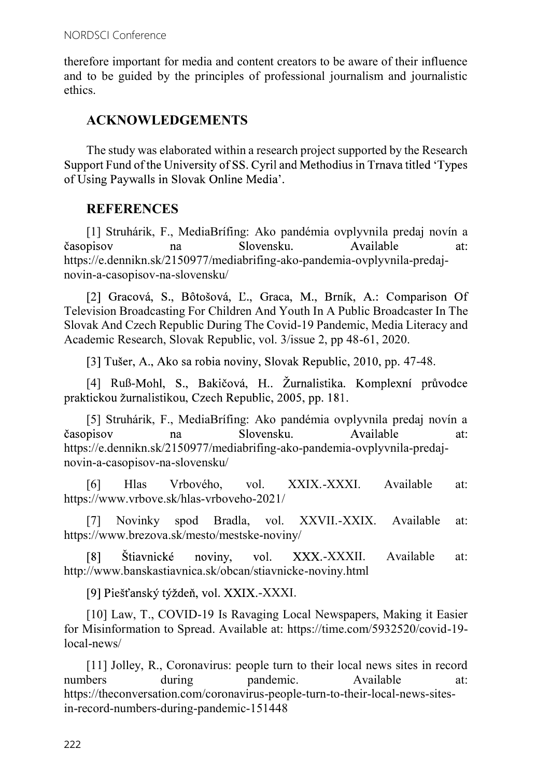therefore important for media and content creators to be aware of their influence and to be guided by the principles of professional journalism and journalistic ethics.

## ACKNOWLEDGEMENTS

The study was elaborated within a research project supported by the Research Support Fund of the University of SS. Cyril and Methodius in Trnava titled 'Types of Using Paywalls in Slovak Online Media'.

# **REFERENCES**

[1] Struhárik, F., MediaBrífing: Ako pandémia ovplyvnila predaj novín a časopisov Slovensku. Available na  $at:$ https://e.dennikn.sk/2150977/mediabrifing-ako-pandemia-ovplyvnila-predajnovin-a-casopisov-na-slovensku/

[2] Gracová, S., Bôtošová, Ľ., Graca, M., Brník, A.: Comparison Of Television Broadcasting For Children And Youth In A Public Broadcaster In The Slovak And Czech Republic During The Covid-19 Pandemic, Media Literacy and Academic Research, Slovak Republic, vol. 3/issue 2, pp 48-61, 2020.

[3] Tušer, A., Ako sa robia noviny, Slovak Republic, 2010, pp. 47-48.

[4] Ruß-Mohl, S., Bakičová, H.. Žurnalistika. Komplexní průvodce praktickou žurnalistikou, Czech Republic, 2005, pp. 181.

[5] Struhárik, F., MediaBrífing: Ako pandémia ovplyvnila predaj novín a Slovensku. časopisov Available  $at:$ na https://e.dennikn.sk/2150977/mediabrifing-ako-pandemia-ovplyvnila-predajnovin-a-casopisov-na-slovensku/

[6] Hlas Vrbového, vol. XXIX.-XXXI. Available at: https://www.vrbove.sk/hlas-vrboveho-2021/

[7] Novinky spod Bradla, vol. XXVII.-XXIX. Available at: https://www.brezova.sk/mesto/mestske-noviny/

 $\lceil 8 \rceil$ Štiavnické noviny. vol. -XXXII. Available at: http://www.banskastiavnica.sk/obcan/stiavnicke-noviny.html

[9] Piešťanský týždeň, vol. XXIX.-XXXI.

[10] Law, T., COVID-19 Is Ravaging Local Newspapers, Making it Easier for Misinformation to Spread. Available at: https://time.com/5932520/covid-19 local-news/

[11] Jolley, R., Coronavirus: people turn to their local news sites in record numbers during pandemic. Available at: https://theconversation.com/coronavirus-people-turn-to-their-local-news-sitesin-record-numbers-during-pandemic-151448